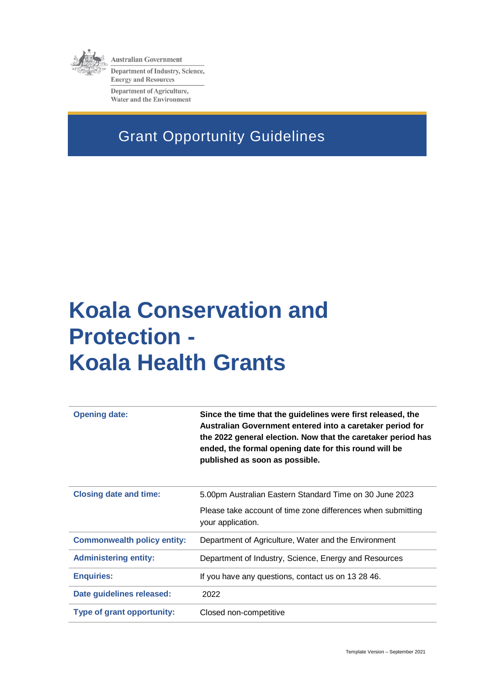

**Australian Government Department of Industry, Science, Energy and Resources Department of Agriculture, Water and the Environment** 

# Grant Opportunity Guidelines

# **Koala Conservation and Protection - Koala Health Grants**

| <b>Opening date:</b>               | Since the time that the guidelines were first released, the<br>Australian Government entered into a caretaker period for<br>the 2022 general election. Now that the caretaker period has<br>ended, the formal opening date for this round will be<br>published as soon as possible. |  |  |
|------------------------------------|-------------------------------------------------------------------------------------------------------------------------------------------------------------------------------------------------------------------------------------------------------------------------------------|--|--|
| <b>Closing date and time:</b>      | 5.00pm Australian Eastern Standard Time on 30 June 2023                                                                                                                                                                                                                             |  |  |
|                                    | Please take account of time zone differences when submitting<br>your application.                                                                                                                                                                                                   |  |  |
| <b>Commonwealth policy entity:</b> | Department of Agriculture, Water and the Environment                                                                                                                                                                                                                                |  |  |
| <b>Administering entity:</b>       | Department of Industry, Science, Energy and Resources                                                                                                                                                                                                                               |  |  |
| <b>Enquiries:</b>                  | If you have any questions, contact us on 13 28 46.                                                                                                                                                                                                                                  |  |  |
| Date guidelines released:          | 2022                                                                                                                                                                                                                                                                                |  |  |
| Type of grant opportunity:         | Closed non-competitive                                                                                                                                                                                                                                                              |  |  |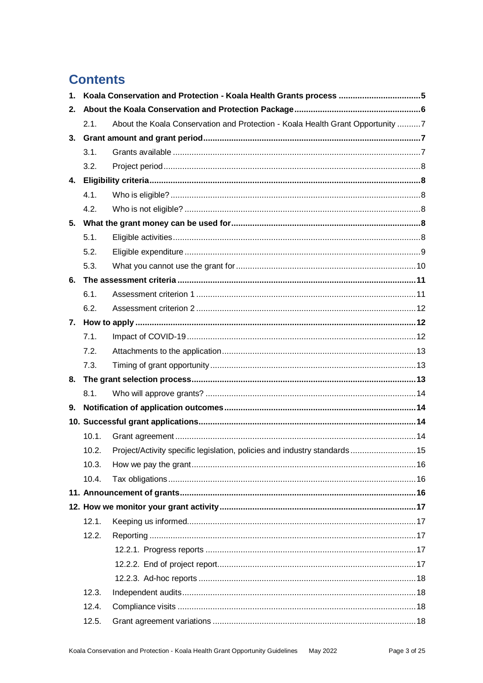### **Contents**

| 1 <sub>1</sub> |                                                                                        |                                                                          |  |  |  |
|----------------|----------------------------------------------------------------------------------------|--------------------------------------------------------------------------|--|--|--|
| 2 <sub>1</sub> |                                                                                        |                                                                          |  |  |  |
|                | About the Koala Conservation and Protection - Koala Health Grant Opportunity 7<br>2.1. |                                                                          |  |  |  |
| 3.             |                                                                                        |                                                                          |  |  |  |
|                | 3.1.                                                                                   |                                                                          |  |  |  |
|                | 3.2.                                                                                   |                                                                          |  |  |  |
| 4.             |                                                                                        |                                                                          |  |  |  |
|                | 4.1.                                                                                   |                                                                          |  |  |  |
|                | 4.2.                                                                                   |                                                                          |  |  |  |
|                |                                                                                        |                                                                          |  |  |  |
|                | 5.1.                                                                                   |                                                                          |  |  |  |
|                | 5.2.                                                                                   |                                                                          |  |  |  |
|                | 5.3.                                                                                   |                                                                          |  |  |  |
| 6.             |                                                                                        |                                                                          |  |  |  |
|                | 6.1.                                                                                   |                                                                          |  |  |  |
|                | 6.2.                                                                                   |                                                                          |  |  |  |
|                |                                                                                        |                                                                          |  |  |  |
|                | 7.1.                                                                                   |                                                                          |  |  |  |
|                | 7.2.                                                                                   |                                                                          |  |  |  |
|                | 7.3.                                                                                   |                                                                          |  |  |  |
|                |                                                                                        |                                                                          |  |  |  |
|                | 8.1.                                                                                   |                                                                          |  |  |  |
| 9.             |                                                                                        |                                                                          |  |  |  |
|                |                                                                                        |                                                                          |  |  |  |
|                | 10.1.                                                                                  |                                                                          |  |  |  |
|                | 10.2.                                                                                  | Project/Activity specific legislation, policies and industry standards15 |  |  |  |
|                | 10.3.                                                                                  |                                                                          |  |  |  |
|                | 10.4.                                                                                  |                                                                          |  |  |  |
|                |                                                                                        |                                                                          |  |  |  |
|                |                                                                                        |                                                                          |  |  |  |
|                | 12.1.                                                                                  |                                                                          |  |  |  |
|                | 12.2.                                                                                  |                                                                          |  |  |  |
|                |                                                                                        |                                                                          |  |  |  |
|                |                                                                                        |                                                                          |  |  |  |
|                |                                                                                        |                                                                          |  |  |  |
|                | 12.3.                                                                                  |                                                                          |  |  |  |
|                | 12.4.                                                                                  |                                                                          |  |  |  |
|                | 12.5.                                                                                  |                                                                          |  |  |  |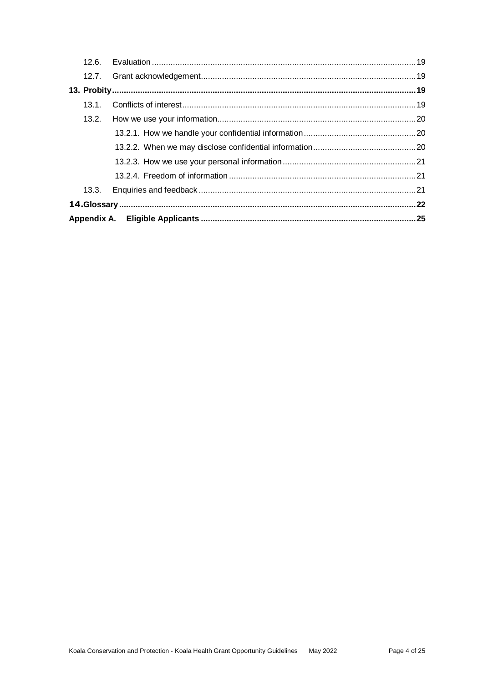| 13.1. |  |  |
|-------|--|--|
|       |  |  |
|       |  |  |
|       |  |  |
|       |  |  |
|       |  |  |
| 13.3. |  |  |
|       |  |  |
|       |  |  |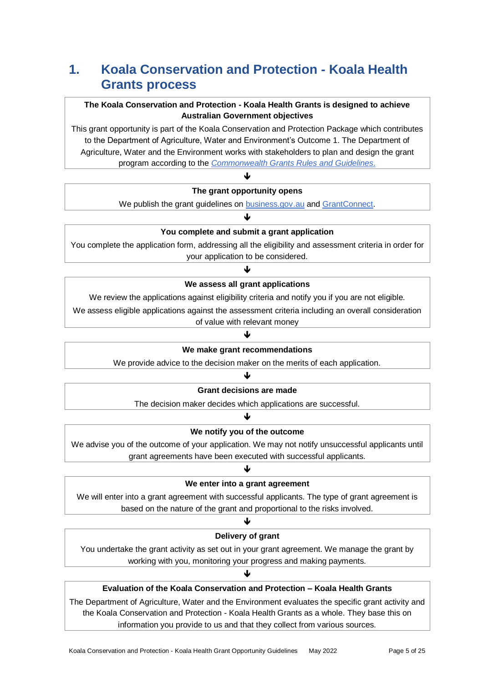### **1. Koala Conservation and Protection - Koala Health Grants process**

#### **The Koala Conservation and Protection - Koala Health Grants is designed to achieve Australian Government objectives**

This grant opportunity is part of the Koala Conservation and Protection Package which contributes to the Department of Agriculture, Water and Environment's Outcome 1. The Department of Agriculture, Water and the Environment works with stakeholders to plan and design the grant program according to the *[Commonwealth Grants Rules and Guidelines](https://www.finance.gov.au/government/commonwealth-grants/commonwealth-grants-rules-guidelines)*.

#### ♦ **The grant opportunity opens**

We publish the grant guidelines on **business.gov.au** and **GrantConnect**. J

#### **You complete and submit a grant application**

You complete the application form, addressing all the eligibility and assessment criteria in order for your application to be considered.

#### J **We assess all grant applications**

We review the applications against eligibility criteria and notify you if you are not eligible.

We assess eligible applications against the assessment criteria including an overall consideration of value with relevant money

#### ↓

#### **We make grant recommendations**

We provide advice to the decision maker on the merits of each application.

#### ♦

#### **Grant decisions are made**

The decision maker decides which applications are successful. J

#### **We notify you of the outcome**

We advise you of the outcome of your application. We may not notify unsuccessful applicants until grant agreements have been executed with successful applicants.

#### J **We enter into a grant agreement**

We will enter into a grant agreement with successful applicants. The type of grant agreement is based on the nature of the grant and proportional to the risks involved.

#### ↓

#### **Delivery of grant**

You undertake the grant activity as set out in your grant agreement. We manage the grant by working with you, monitoring your progress and making payments.

♦

#### **Evaluation of the Koala Conservation and Protection – Koala Health Grants**

The Department of Agriculture, Water and the Environment evaluates the specific grant activity and the Koala Conservation and Protection - Koala Health Grants as a whole. They base this on information you provide to us and that they collect from various sources.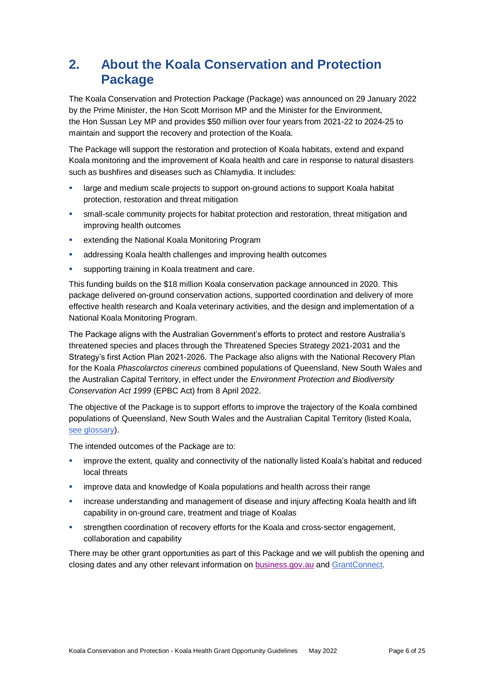### **2. About the Koala Conservation and Protection Package**

The Koala Conservation and Protection Package (Package) was announced on 29 January 2022 by the Prime Minister, the Hon Scott Morrison MP and the Minister for the Environment, the Hon Sussan Ley MP and provides \$50 million over four years from 2021-22 to 2024-25 to maintain and support the recovery and protection of the Koala.

The Package will support the restoration and protection of Koala habitats, extend and expand Koala monitoring and the improvement of Koala health and care in response to natural disasters such as bushfires and diseases such as Chlamydia. It includes:

- large and medium scale projects to support on-ground actions to support Koala habitat protection, restoration and threat mitigation
- small-scale community projects for habitat protection and restoration, threat mitigation and improving health outcomes
- **EXTERGHIST EXTENDING IN A LOCAL EXTENDING IN A LOCAL EXTENDING IN A LOCAL EXTENDING IN A LOCAL EXTENDING I**
- addressing Koala health challenges and improving health outcomes
- supporting training in Koala treatment and care.

This funding builds on the \$18 million Koala conservation package announced in 2020. This package delivered on-ground conservation actions, supported coordination and delivery of more effective health research and Koala veterinary activities, and the design and implementation of a National Koala Monitoring Program.

The Package aligns with the Australian Government's efforts to protect and restore Australia's threatened species and places through the Threatened Species Strategy 2021-2031 and the Strategy's first Action Plan 2021-2026. The Package also aligns with the National Recovery Plan for the Koala *Phascolarctos cinereus* combined populations of Queensland, New South Wales and the Australian Capital Territory, in effect under the *Environment Protection and Biodiversity Conservation Act 1999* (EPBC Act) from 8 April 2022.

The objective of the Package is to support efforts to improve the trajectory of the Koala combined populations of Queensland, New South Wales and the Australian Capital Territory (listed Koala, [see glossary\)](#page-21-0).

The intended outcomes of the Package are to:

- improve the extent, quality and connectivity of the nationally listed Koala's habitat and reduced local threats
- improve data and knowledge of Koala populations and health across their range
- increase understanding and management of disease and injury affecting Koala health and lift capability in on-ground care, treatment and triage of Koalas
- strengthen coordination of recovery efforts for the Koala and cross-sector engagement, collaboration and capability

There may be other grant opportunities as part of this Package and we will publish the opening and closing dates and any other relevant information o[n business.gov.au](https://business.gov.au/grants-and-programs/koala-conservation-and-protection-koala-health-grant-opportunity#key-documents) and [GrantConnect.](https://www.grants.gov.au/)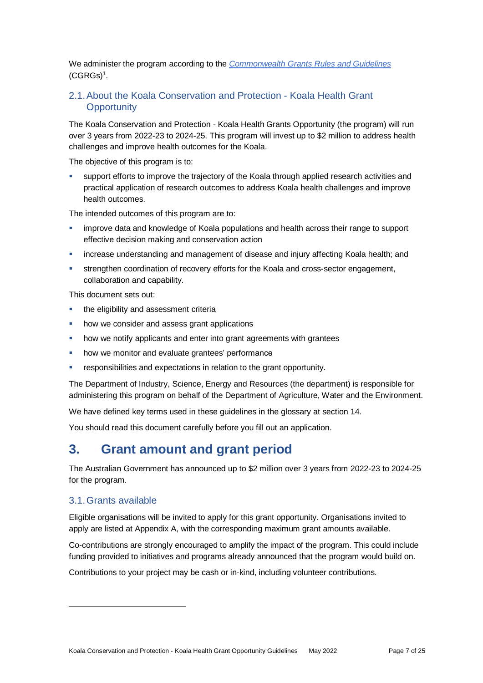We administer the program according to the *[Commonwealth Grants Rules and Guidelines](https://www.finance.gov.au/government/commonwealth-grants/commonwealth-grants-rules-guidelines)*  $(CGRGs)^1$  $(CGRGs)^1$ .

#### 2.1.About the Koala Conservation and Protection - Koala Health Grant **Opportunity**

The Koala Conservation and Protection - Koala Health Grants Opportunity (the program) will run over 3 years from 2022-23 to 2024-25. This program will invest up to \$2 million to address health challenges and improve health outcomes for the Koala.

The objective of this program is to:

 support efforts to improve the trajectory of the Koala through applied research activities and practical application of research outcomes to address Koala health challenges and improve health outcomes.

The intended outcomes of this program are to:

- improve data and knowledge of Koala populations and health across their range to support effective decision making and conservation action
- increase understanding and management of disease and injury affecting Koala health; and
- strengthen coordination of recovery efforts for the Koala and cross-sector engagement, collaboration and capability.

This document sets out:

- **the eligibility and assessment criterially**
- how we consider and assess grant applications
- how we notify applicants and enter into grant agreements with grantees
- how we monitor and evaluate grantees' performance
- responsibilities and expectations in relation to the grant opportunity.

The Department of Industry, Science, Energy and Resources (the department) is responsible for administering this program on behalf of the Department of Agriculture, Water and the Environment.

We have defined key terms used in these guidelines in the glossary at section [14.](#page-21-0)

You should read this document carefully before you fill out an application.

### **3. Grant amount and grant period**

The Australian Government has announced up to \$2 million over 3 years from 2022-23 to 2024-25 for the program.

#### 3.1.Grants available

l

Eligible organisations will be invited to apply for this grant opportunity. Organisations invited to apply are listed at Appendix A, with the corresponding maximum grant amounts available.

Co-contributions are strongly encouraged to amplify the impact of the program. This could include funding provided to initiatives and programs already announced that the program would build on.

Contributions to your project may be cash or in-kind, including volunteer contributions.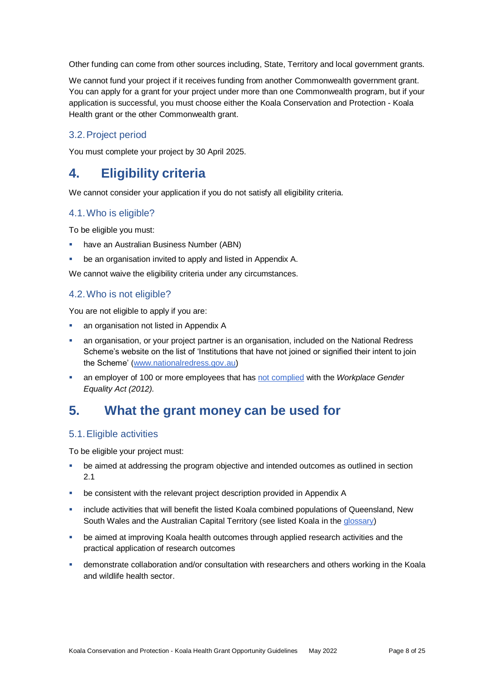Other funding can come from other sources including, State, Territory and local government grants.

We cannot fund your project if it receives funding from another Commonwealth government grant. You can apply for a grant for your project under more than one Commonwealth program, but if your application is successful, you must choose either the Koala Conservation and Protection - Koala Health grant or the other Commonwealth grant.

#### 3.2.Project period

You must complete your project by 30 April 2025.

### **4. Eligibility criteria**

We cannot consider your application if you do not satisfy all eligibility criteria.

#### 4.1.Who is eligible?

To be eligible you must:

- have an Australian Business Number (ABN)
- be an organisation invited to apply and listed in Appendix A.

We cannot waive the eligibility criteria under any circumstances.

#### 4.2.Who is not eligible?

You are not eligible to apply if you are:

- **an organisation not listed in Appendix A**
- an organisation, or your project partner is an organisation, included on the National Redress Scheme's website on the list of 'Institutions that have not joined or signified their intent to join the Scheme' [\(www.nationalredress.gov.au\)](http://www.nationalredress.gov.au/)
- an employer of 100 or more employees that has [not complied](https://www.wgea.gov.au/what-we-do/compliance-reporting/non-compliant-list) with the *Workplace Gender Equality Act (2012).*

### **5. What the grant money can be used for**

#### <span id="page-7-0"></span>5.1.Eligible activities

To be eligible your project must:

- be aimed at addressing the program objective and intended outcomes as outlined in section 2.1
- be consistent with the relevant project description provided in Appendix A
- include activities that will benefit the listed Koala combined populations of Queensland, New South Wales and the Australian Capital Territory (see listed Koala in the [glossary\)](#page-21-0)
- be aimed at improving Koala health outcomes through applied research activities and the practical application of research outcomes
- demonstrate collaboration and/or consultation with researchers and others working in the Koala and wildlife health sector.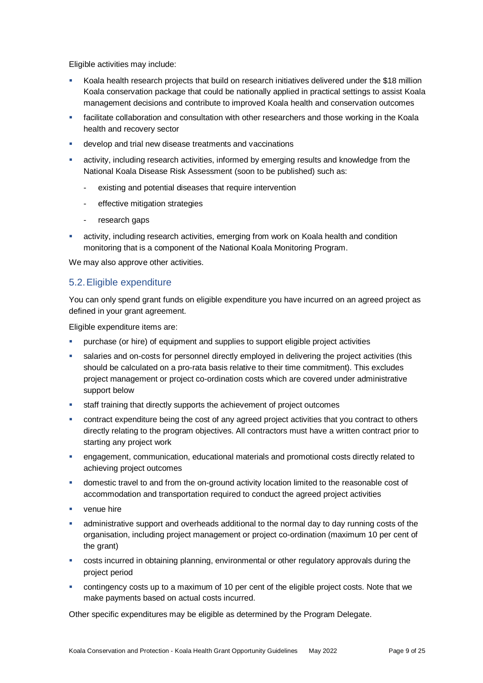Eligible activities may include:

- Koala health research projects that build on research initiatives delivered under the \$18 million Koala conservation package that could be nationally applied in practical settings to assist Koala management decisions and contribute to improved Koala health and conservation outcomes
- **Facilitate collaboration and consultation with other researchers and those working in the Koala** health and recovery sector
- develop and trial new disease treatments and vaccinations
- activity, including research activities, informed by emerging results and knowledge from the National Koala Disease Risk Assessment (soon to be published) such as:
	- existing and potential diseases that require intervention
	- effective mitigation strategies
	- research gaps
- activity, including research activities, emerging from work on Koala health and condition monitoring that is a component of the National Koala Monitoring Program.

We may also approve other activities.

#### <span id="page-8-0"></span>5.2.Eligible expenditure

You can only spend grant funds on eligible expenditure you have incurred on an agreed project as defined in your grant agreement.

Eligible expenditure items are:

- purchase (or hire) of equipment and supplies to support eligible project activities
- salaries and on-costs for personnel directly employed in delivering the project activities (this should be calculated on a pro-rata basis relative to their time commitment). This excludes project management or project co-ordination costs which are covered under administrative support below
- staff training that directly supports the achievement of project outcomes
- **EXECO in the contract expenditure being the cost of any agreed project activities that you contract to others** directly relating to the program objectives. All contractors must have a written contract prior to starting any project work
- engagement, communication, educational materials and promotional costs directly related to achieving project outcomes
- domestic travel to and from the on-ground activity location limited to the reasonable cost of accommodation and transportation required to conduct the agreed project activities
- venue hire
- administrative support and overheads additional to the normal day to day running costs of the organisation, including project management or project co-ordination (maximum 10 per cent of the grant)
- costs incurred in obtaining planning, environmental or other regulatory approvals during the project period
- contingency costs up to a maximum of 10 per cent of the eligible project costs. Note that we make payments based on actual costs incurred.

Other specific expenditures may be eligible as determined by the Program Delegate.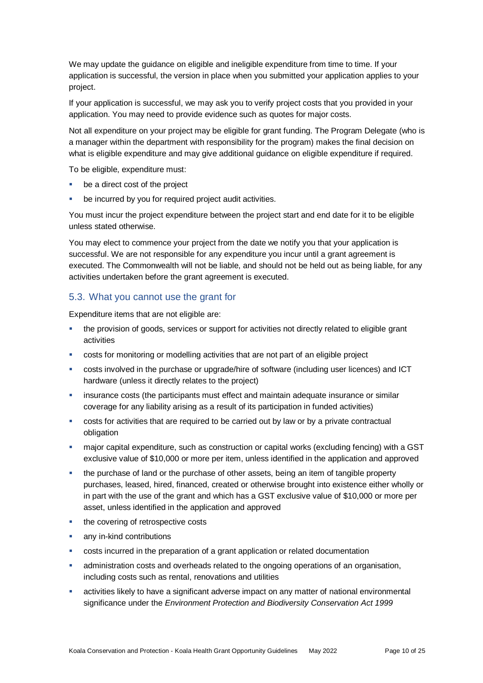We may update the guidance on eligible and ineligible expenditure from time to time. If your application is successful, the version in place when you submitted your application applies to your project.

If your application is successful, we may ask you to verify project costs that you provided in your application. You may need to provide evidence such as quotes for major costs.

Not all expenditure on your project may be eligible for grant funding. The Program Delegate (who is a manager within the department with responsibility for the program) makes the final decision on what is eligible expenditure and may give additional guidance on eligible expenditure if required.

To be eligible, expenditure must:

- be a direct cost of the project
- be incurred by you for required project audit activities.

You must incur the project expenditure between the project start and end date for it to be eligible unless stated otherwise.

You may elect to commence your project from the date we notify you that your application is successful. We are not responsible for any expenditure you incur until a grant agreement is executed. The Commonwealth will not be liable, and should not be held out as being liable, for any activities undertaken before the grant agreement is executed.

#### 5.3. What you cannot use the grant for

Expenditure items that are not eligible are:

- the provision of goods, services or support for activities not directly related to eligible grant activities
- costs for monitoring or modelling activities that are not part of an eligible project
- costs involved in the purchase or upgrade/hire of software (including user licences) and ICT hardware (unless it directly relates to the project)
- insurance costs (the participants must effect and maintain adequate insurance or similar coverage for any liability arising as a result of its participation in funded activities)
- costs for activities that are required to be carried out by law or by a private contractual obligation
- major capital expenditure, such as construction or capital works (excluding fencing) with a GST exclusive value of \$10,000 or more per item, unless identified in the application and approved
- the purchase of land or the purchase of other assets, being an item of tangible property purchases, leased, hired, financed, created or otherwise brought into existence either wholly or in part with the use of the grant and which has a GST exclusive value of \$10,000 or more per asset, unless identified in the application and approved
- the covering of retrospective costs
- any in-kind contributions
- costs incurred in the preparation of a grant application or related documentation
- administration costs and overheads related to the ongoing operations of an organisation, including costs such as rental, renovations and utilities
- activities likely to have a significant adverse impact on any matter of national environmental significance under the *Environment Protection and Biodiversity Conservation Act 1999*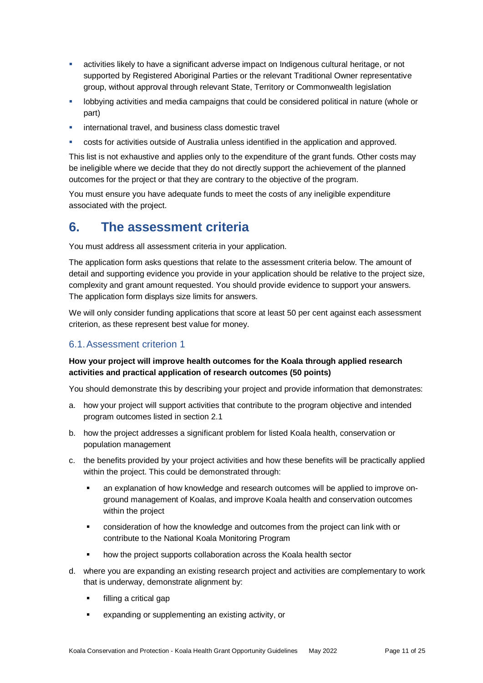- activities likely to have a significant adverse impact on Indigenous cultural heritage, or not supported by Registered Aboriginal Parties or the relevant Traditional Owner representative group, without approval through relevant State, Territory or Commonwealth legislation
- **-** lobbying activities and media campaigns that could be considered political in nature (whole or part)
- international travel, and business class domestic travel
- costs for activities outside of Australia unless identified in the application and approved.

This list is not exhaustive and applies only to the expenditure of the grant funds. Other costs may be ineligible where we decide that they do not directly support the achievement of the planned outcomes for the project or that they are contrary to the objective of the program.

You must ensure you have adequate funds to meet the costs of any ineligible expenditure associated with the project.

### **6. The assessment criteria**

You must address all assessment criteria in your application.

The application form asks questions that relate to the assessment criteria below. The amount of detail and supporting evidence you provide in your application should be relative to the project size, complexity and grant amount requested. You should provide evidence to support your answers. The application form displays size limits for answers.

We will only consider funding applications that score at least 50 per cent against each assessment criterion, as these represent best value for money.

#### 6.1.Assessment criterion 1

#### **How your project will improve health outcomes for the Koala through applied research activities and practical application of research outcomes (50 points)**

You should demonstrate this by describing your project and provide information that demonstrates:

- a. how your project will support activities that contribute to the program objective and intended program outcomes listed in section 2.1
- b. how the project addresses a significant problem for listed Koala health, conservation or population management
- c. the benefits provided by your project activities and how these benefits will be practically applied within the project. This could be demonstrated through:
	- an explanation of how knowledge and research outcomes will be applied to improve onground management of Koalas, and improve Koala health and conservation outcomes within the project
	- consideration of how the knowledge and outcomes from the project can link with or contribute to the National Koala Monitoring Program
	- how the project supports collaboration across the Koala health sector
- d. where you are expanding an existing research project and activities are complementary to work that is underway, demonstrate alignment by:
	- **filling a critical gap**
	- expanding or supplementing an existing activity, or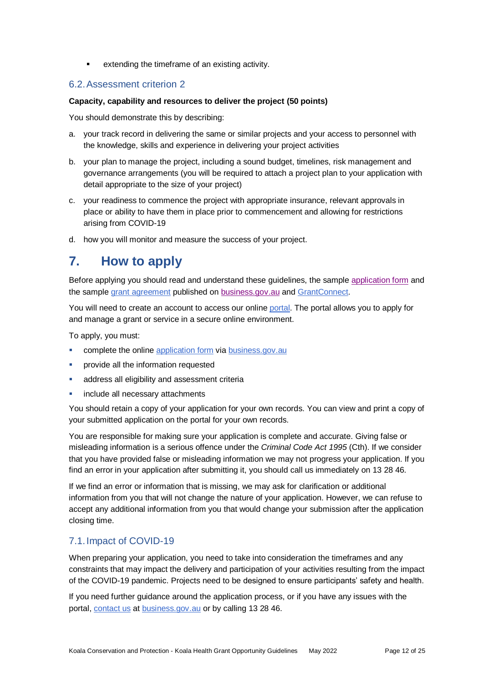extending the timeframe of an existing activity.

#### 6.2.Assessment criterion 2

#### **Capacity, capability and resources to deliver the project (50 points)**

You should demonstrate this by describing:

- a. your track record in delivering the same or similar projects and your access to personnel with the knowledge, skills and experience in delivering your project activities
- b. your plan to manage the project, including a sound budget, timelines, risk management and governance arrangements (you will be required to attach a project plan to your application with detail appropriate to the size of your project)
- c. your readiness to commence the project with appropriate insurance, relevant approvals in place or ability to have them in place prior to commencement and allowing for restrictions arising from COVID-19
- d. how you will monitor and measure the success of your project.

### **7. How to apply**

Before applying you should read and understand these guidelines, the sample [application form](https://business.gov.au/grants-and-programs/koala-conservation-and-protection-koala-health-grant-opportunity#key-documents) and the sampl[e grant agreement](https://business.gov.au/grants-and-programs/koala-conservation-and-protection-koala-health-grant-opportunity#key-documents) published on [business.gov.au](https://business.gov.au/grants-and-programs/koala-conservation-and-protection-koala-health-grant-opportunity#key-documents) and [GrantConnect.](https://www.grants.gov.au/)

You will need to create an account to access our online [portal.](https://portal.business.gov.au/) The portal allows you to apply for and manage a grant or service in a secure online environment.

To apply, you must:

- complete the online [application form](https://portal.business.gov.au/) vi[a business.gov.au](https://business.gov.au/grants-and-programs/koala-conservation-and-protection-koala-health-grant-opportunity#key-documents)
- provide all the information requested
- address all eligibility and assessment criteria
- include all necessary attachments

You should retain a copy of your application for your own records. You can view and print a copy of your submitted application on the portal for your own records.

You are responsible for making sure your application is complete and accurate. Giving false or misleading information is a serious offence under the *Criminal Code Act 1995* (Cth). If we consider that you have provided false or misleading information we may not progress your application. If you find an error in your application after submitting it, you should call us immediately on 13 28 46.

If we find an error or information that is missing, we may ask for clarification or additional information from you that will not change the nature of your application. However, we can refuse to accept any additional information from you that would change your submission after the application closing time.

#### 7.1.Impact of COVID-19

When preparing your application, you need to take into consideration the timeframes and any constraints that may impact the delivery and participation of your activities resulting from the impact of the COVID-19 pandemic. Projects need to be designed to ensure participants' safety and health.

If you need further guidance around the application process, or if you have any issues with the portal, [contact us](https://www.business.gov.au/contact-us) at [business.gov.au](https://business.gov.au/grants-and-programs/koala-conservation-and-protection-koala-health-grant-opportunity#key-documents) or by calling 13 28 46.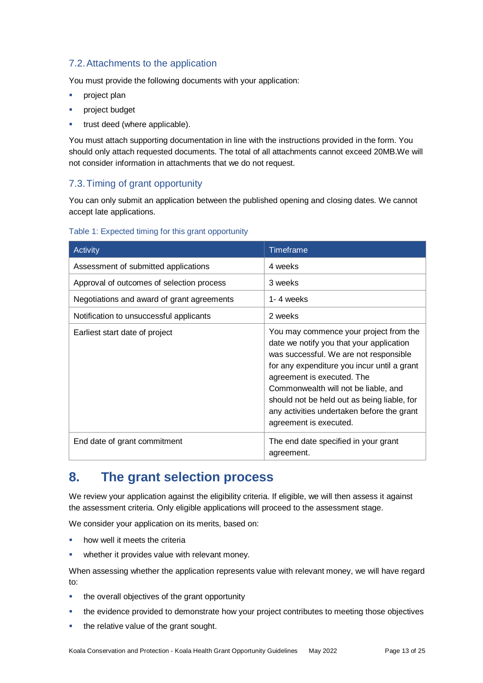#### 7.2.Attachments to the application

You must provide the following documents with your application:

- **project plan**
- project budget
- trust deed (where applicable).

You must attach supporting documentation in line with the instructions provided in the form. You should only attach requested documents. The total of all attachments cannot exceed 20MB.We will not consider information in attachments that we do not request.

#### 7.3.Timing of grant opportunity

You can only submit an application between the published opening and closing dates. We cannot accept late applications.

#### Table 1: Expected timing for this grant opportunity

| Activity                                   | <b>Timeframe</b>                                                                                                                                                                                                                                                                                                                                                         |  |
|--------------------------------------------|--------------------------------------------------------------------------------------------------------------------------------------------------------------------------------------------------------------------------------------------------------------------------------------------------------------------------------------------------------------------------|--|
| Assessment of submitted applications       | 4 weeks                                                                                                                                                                                                                                                                                                                                                                  |  |
| Approval of outcomes of selection process  | 3 weeks                                                                                                                                                                                                                                                                                                                                                                  |  |
| Negotiations and award of grant agreements | 1-4 weeks                                                                                                                                                                                                                                                                                                                                                                |  |
| Notification to unsuccessful applicants    | 2 weeks                                                                                                                                                                                                                                                                                                                                                                  |  |
| Earliest start date of project             | You may commence your project from the<br>date we notify you that your application<br>was successful. We are not responsible<br>for any expenditure you incur until a grant<br>agreement is executed. The<br>Commonwealth will not be liable, and<br>should not be held out as being liable, for<br>any activities undertaken before the grant<br>agreement is executed. |  |
| End date of grant commitment               | The end date specified in your grant<br>agreement.                                                                                                                                                                                                                                                                                                                       |  |

### **8. The grant selection process**

We review your application against the eligibility criteria. If eligible, we will then assess it against the assessment criteria. Only eligible applications will proceed to the assessment stage.

We consider your application on its merits, based on:

- how well it meets the criteria
- **•** whether it provides value with relevant money.

When assessing whether the application represents value with relevant money, we will have regard to:

- the overall objectives of the grant opportunity
- the evidence provided to demonstrate how your project contributes to meeting those objectives
- the relative value of the grant sought.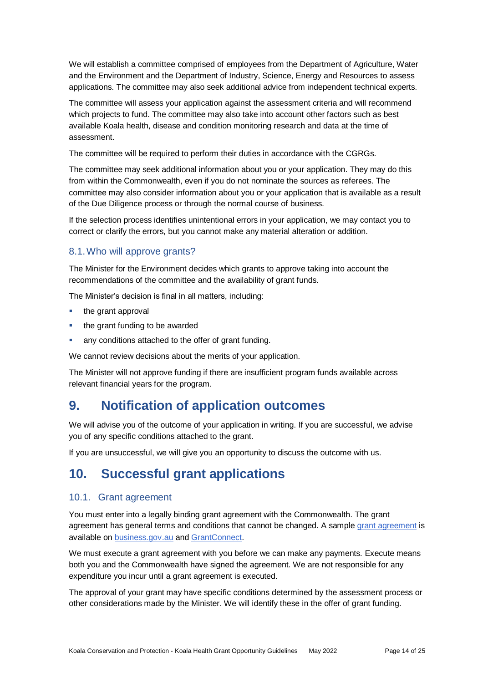We will establish a committee comprised of employees from the Department of Agriculture, Water and the Environment and the Department of Industry, Science, Energy and Resources to assess applications. The committee may also seek additional advice from independent technical experts.

The committee will assess your application against the assessment criteria and will recommend which projects to fund. The committee may also take into account other factors such as best available Koala health, disease and condition monitoring research and data at the time of assessment.

The committee will be required to perform their duties in accordance with the CGRGs.

The committee may seek additional information about you or your application. They may do this from within the Commonwealth, even if you do not nominate the sources as referees. The committee may also consider information about you or your application that is available as a result of the Due Diligence process or through the normal course of business.

If the selection process identifies unintentional errors in your application, we may contact you to correct or clarify the errors, but you cannot make any material alteration or addition.

#### 8.1.Who will approve grants?

The Minister for the Environment decides which grants to approve taking into account the recommendations of the committee and the availability of grant funds.

The Minister's decision is final in all matters, including:

- the grant approval
- the grant funding to be awarded
- any conditions attached to the offer of grant funding.

We cannot review decisions about the merits of your application.

The Minister will not approve funding if there are insufficient program funds available across relevant financial years for the program.

### **9. Notification of application outcomes**

We will advise you of the outcome of your application in writing. If you are successful, we advise you of any specific conditions attached to the grant.

If you are unsuccessful, we will give you an opportunity to discuss the outcome with us.

### **10. Successful grant applications**

#### 10.1. Grant agreement

You must enter into a legally binding grant agreement with the Commonwealth. The grant agreement has general terms and conditions that cannot be changed. A sample [grant agreement](https://business.gov.au/grants-and-programs/koala-conservation-and-protection-koala-health-grant-opportunity#key-documents) is available on [business.gov.au](https://business.gov.au/grants-and-programs/koala-conservation-and-protection-koala-health-grant-opportunity#key-documents) an[d GrantConnect.](https://www.grants.gov.au/)

We must execute a grant agreement with you before we can make any payments. Execute means both you and the Commonwealth have signed the agreement. We are not responsible for any expenditure you incur until a grant agreement is executed.

The approval of your grant may have specific conditions determined by the assessment process or other considerations made by the Minister. We will identify these in the offer of grant funding.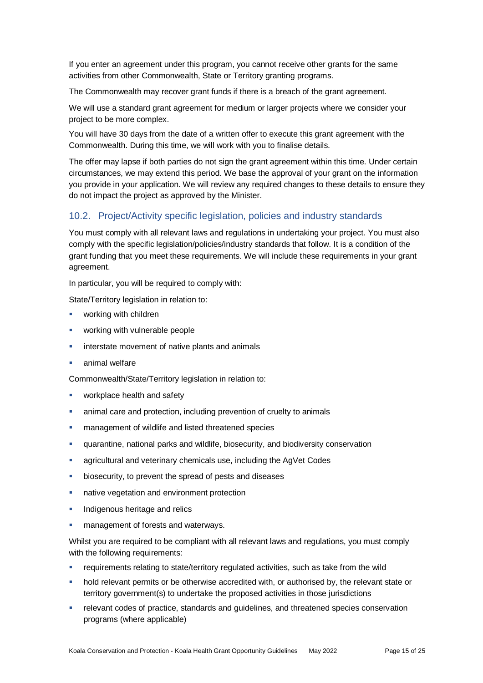If you enter an agreement under this program, you cannot receive other grants for the same activities from other Commonwealth, State or Territory granting programs.

The Commonwealth may recover grant funds if there is a breach of the grant agreement.

We will use a standard grant agreement for medium or larger projects where we consider your project to be more complex.

You will have 30 days from the date of a written offer to execute this grant agreement with the Commonwealth. During this time, we will work with you to finalise details.

The offer may lapse if both parties do not sign the grant agreement within this time. Under certain circumstances, we may extend this period. We base the approval of your grant on the information you provide in your application. We will review any required changes to these details to ensure they do not impact the project as approved by the Minister.

#### 10.2. Project/Activity specific legislation, policies and industry standards

You must comply with all relevant laws and regulations in undertaking your project. You must also comply with the specific legislation/policies/industry standards that follow. It is a condition of the grant funding that you meet these requirements. We will include these requirements in your grant agreement.

In particular, you will be required to comply with:

State/Territory legislation in relation to:

- working with children
- working with vulnerable people
- interstate movement of native plants and animals
- animal welfare

Commonwealth/State/Territory legislation in relation to:

- workplace health and safety
- animal care and protection, including prevention of cruelty to animals
- management of wildlife and listed threatened species
- quarantine, national parks and wildlife, biosecurity, and biodiversity conservation
- agricultural and veterinary chemicals use, including the AgVet Codes
- biosecurity, to prevent the spread of pests and diseases
- native vegetation and environment protection
- **Indigenous heritage and relics**
- management of forests and waterways.

Whilst you are required to be compliant with all relevant laws and regulations, you must comply with the following requirements:

- requirements relating to state/territory regulated activities, such as take from the wild
- hold relevant permits or be otherwise accredited with, or authorised by, the relevant state or territory government(s) to undertake the proposed activities in those jurisdictions
- **Figure 1** relevant codes of practice, standards and guidelines, and threatened species conservation programs (where applicable)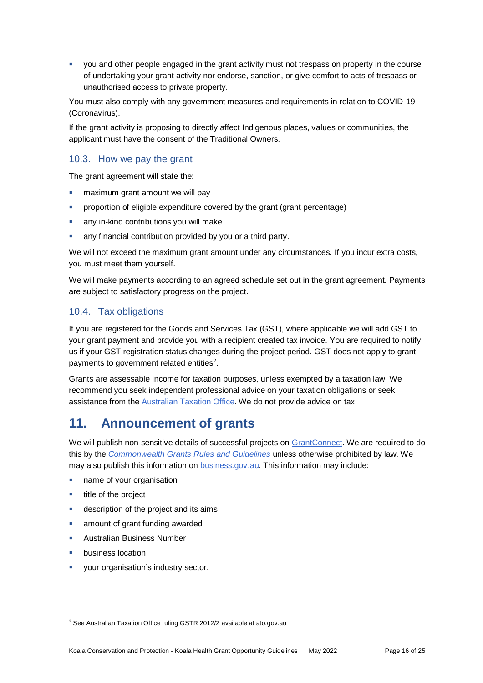you and other people engaged in the grant activity must not trespass on property in the course of undertaking your grant activity nor endorse, sanction, or give comfort to acts of trespass or unauthorised access to private property.

You must also comply with any government measures and requirements in relation to COVID-19 (Coronavirus).

If the grant activity is proposing to directly affect Indigenous places, values or communities, the applicant must have the consent of the Traditional Owners.

#### 10.3. How we pay the grant

The grant agreement will state the:

- maximum grant amount we will pay
- proportion of eligible expenditure covered by the grant (grant percentage)
- any in-kind contributions you will make
- any financial contribution provided by you or a third party.

We will not exceed the maximum grant amount under any circumstances. If you incur extra costs, you must meet them yourself.

We will make payments according to an agreed schedule set out in the grant agreement. Payments are subject to satisfactory progress on the project.

#### 10.4. Tax obligations

If you are registered for the Goods and Services Tax (GST), where applicable we will add GST to your grant payment and provide you with a recipient created tax invoice. You are required to notify us if your GST registration status changes during the project period. GST does not apply to grant payments to government related entities<sup>2</sup>.

Grants are assessable income for taxation purposes, unless exempted by a taxation law. We recommend you seek independent professional advice on your taxation obligations or seek assistance from the [Australian Taxation Office.](https://www.ato.gov.au/) We do not provide advice on tax.

### **11. Announcement of grants**

We will publish non-sensitive details of successful projects on [GrantConnect.](https://www.grants.gov.au/) We are required to do this by the *[Commonwealth Grants Rules and Guidelines](https://www.finance.gov.au/government/commonwealth-grants/commonwealth-grants-rules-guidelines)* unless otherwise prohibited by law. We may also publish this information on **business.gov.au.** This information may include:

- **name of your organisation**
- title of the project
- description of the project and its aims
- amount of grant funding awarded
- Australian Business Number
- business location

l

your organisation's industry sector.

<sup>2</sup> See Australian Taxation Office ruling GSTR 2012/2 available at ato.gov.au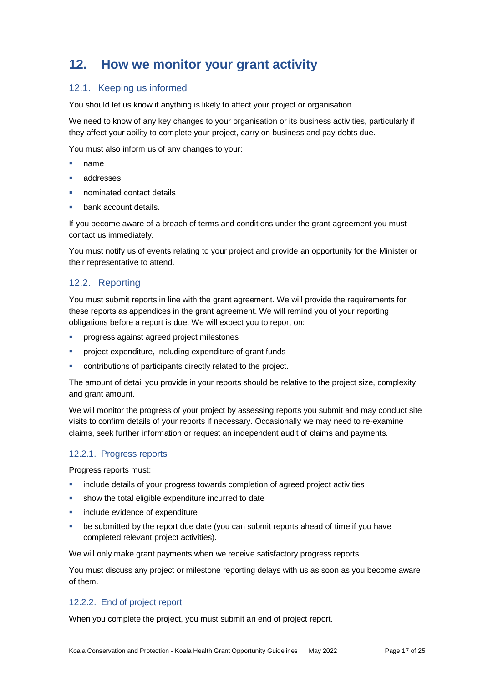### **12. How we monitor your grant activity**

#### 12.1. Keeping us informed

You should let us know if anything is likely to affect your project or organisation.

We need to know of any key changes to your organisation or its business activities, particularly if they affect your ability to complete your project, carry on business and pay debts due.

You must also inform us of any changes to your:

- name
- addresses
- nominated contact details
- bank account details.

If you become aware of a breach of terms and conditions under the grant agreement you must contact us immediately.

You must notify us of events relating to your project and provide an opportunity for the Minister or their representative to attend.

#### 12.2. Reporting

You must submit reports in line with the [grant agreement.](file://///prod.protected.ind/User/user03/LLau2/insert%20link%20here) We will provide the requirements for these reports as appendices in the grant agreement. We will remind you of your reporting obligations before a report is due. We will expect you to report on:

- progress against agreed project milestones
- project expenditure, including expenditure of grant funds
- contributions of participants directly related to the project.

The amount of detail you provide in your reports should be relative to the project size, complexity and grant amount.

We will monitor the progress of your project by assessing reports you submit and may conduct site visits to confirm details of your reports if necessary. Occasionally we may need to re-examine claims, seek further information or request an independent audit of claims and payments.

#### 12.2.1. Progress reports

Progress reports must:

- include details of your progress towards completion of agreed project activities
- show the total eligible expenditure incurred to date
- include evidence of expenditure
- be submitted by the report due date (you can submit reports ahead of time if you have completed relevant project activities).

We will only make grant payments when we receive satisfactory progress reports.

You must discuss any project or milestone reporting delays with us as soon as you become aware of them.

#### 12.2.2. End of project report

When you complete the project, you must submit an end of project report.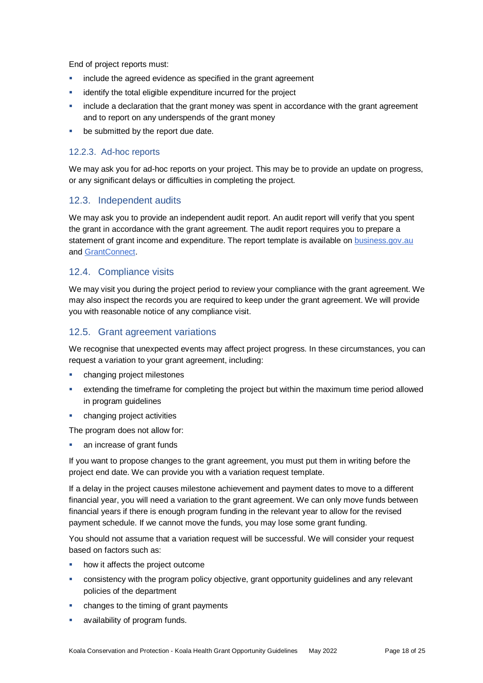End of project reports must:

- include the agreed evidence as specified in the grant agreement
- identify the total eligible expenditure incurred for the project
- **EXED** include a declaration that the grant money was spent in accordance with the grant agreement and to report on any underspends of the grant money
- **be submitted by the report due date.**

#### 12.2.3. Ad-hoc reports

We may ask you for ad-hoc reports on your project. This may be to provide an update on progress, or any significant delays or difficulties in completing the project.

#### 12.3. Independent audits

We may ask you to provide an independent audit report. An audit report will verify that you spent the grant in accordance with the grant agreement. The audit report requires you to prepare a statement of grant income and expenditure. The report template is available on [business.gov.au](file:///C:/Users/ccooper/AppData/Local/Microsoft/Windows/INetCache/Content.Outlook/E5PXWP28/business.gov.au) and [GrantConnect.](https://www.grants.gov.au/)

#### 12.4. Compliance visits

We may visit you during the project period to review your compliance with the grant agreement. We may also inspect the records you are required to keep under the grant agreement. We will provide you with reasonable notice of any compliance visit.

#### 12.5. Grant agreement variations

We recognise that unexpected events may affect project progress. In these circumstances, you can request a variation to your grant agreement, including:

- changing project milestones
- extending the timeframe for completing the project but within the maximum time period allowed in program guidelines
- changing project activities

The program does not allow for:

an increase of grant funds

If you want to propose changes to the grant agreement, you must put them in writing before the project end date. We can provide you with a variation request template.

If a delay in the project causes milestone achievement and payment dates to move to a different financial year, you will need a variation to the grant agreement. We can only move funds between financial years if there is enough program funding in the relevant year to allow for the revised payment schedule. If we cannot move the funds, you may lose some grant funding.

You should not assume that a variation request will be successful. We will consider your request based on factors such as:

- how it affects the project outcome
- consistency with the program policy objective, grant opportunity guidelines and any relevant policies of the department
- changes to the timing of grant payments
- availability of program funds.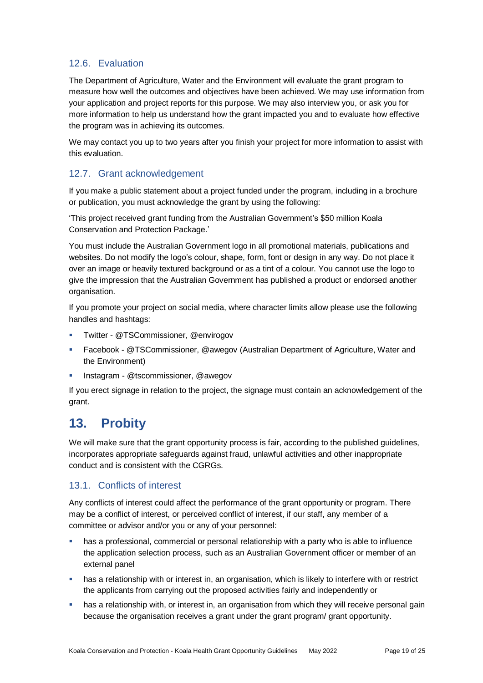#### 12.6. Evaluation

The Department of Agriculture, Water and the Environment will evaluate the grant program to measure how well the outcomes and objectives have been achieved. We may use information from your application and project reports for this purpose. We may also interview you, or ask you for more information to help us understand how the grant impacted you and to evaluate how effective the program was in achieving its outcomes.

We may contact you up to two years after you finish your project for more information to assist with this evaluation.

#### 12.7. Grant acknowledgement

If you make a public statement about a project funded under the program, including in a brochure or publication, you must acknowledge the grant by using the following:

'This project received grant funding from the Australian Government's \$50 million Koala Conservation and Protection Package.'

You must include the Australian Government logo in all promotional materials, publications and websites. Do not modify the logo's colour, shape, form, font or design in any way. Do not place it over an image or heavily textured background or as a tint of a colour. You cannot use the logo to give the impression that the Australian Government has published a product or endorsed another organisation.

If you promote your project on social media, where character limits allow please use the following handles and hashtags:

- Twitter @TSCommissioner, @envirogov
- Facebook @TSCommissioner, @awegov (Australian Department of Agriculture, Water and the Environment)
- Instagram @tscommissioner, @awegov

If you erect signage in relation to the project, the signage must contain an acknowledgement of the grant.

### **13. Probity**

We will make sure that the grant opportunity process is fair, according to the published guidelines, incorporates appropriate safeguards against fraud, unlawful activities and other inappropriate conduct and is consistent with the CGRGs.

#### 13.1. Conflicts of interest

Any conflicts of interest could affect the performance of the grant opportunity or program. There may be a [conflict of interest,](http://www.apsc.gov.au/publications-and-media/current-publications/aps-values-and-code-of-conduct-in-practice/conflict-of-interest) or perceived conflict of interest, if our staff, any member of a committee or advisor and/or you or any of your personnel:

- has a professional, commercial or personal relationship with a party who is able to influence the application selection process, such as an Australian Government officer or member of an external panel
- has a relationship with or interest in, an organisation, which is likely to interfere with or restrict the applicants from carrying out the proposed activities fairly and independently or
- **•** has a relationship with, or interest in, an organisation from which they will receive personal gain because the organisation receives a grant under the grant program/ grant opportunity.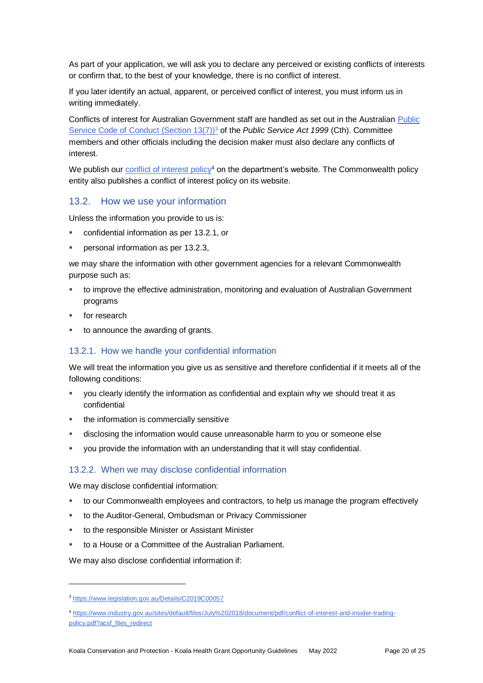As part of your application, we will ask you to declare any perceived or existing conflicts of interests or confirm that, to the best of your knowledge, there is no conflict of interest.

If you later identify an actual, apparent, or perceived conflict of interest, you must inform us in writing immediately.

Conflicts of interest for Australian Government staff are handled as set out in the Australian [Public](https://www.legislation.gov.au/Details/C2019C00057)  [Service Code of Conduct \(Section 13\(7\)\)](https://www.legislation.gov.au/Details/C2019C00057)<sup>3</sup> of the *Public Service Act 1999* (Cth). Committee members and other officials including the decision maker must also declare any conflicts of interest.

We publish our [conflict of interest policy](https://www.industry.gov.au/sites/g/files/net3906/f/July%202018/document/pdf/conflict-of-interest-and-insider-trading-policy.pdf)<sup>4</sup> on the department's website. The Commonwealth policy entity also publishes a conflict of interest policy on its website.

#### 13.2. How we use your information

Unless the information you provide to us is:

- confidential information as per [13.2.1,](#page-19-0) or
- personal information as per [13.2.3,](#page-20-0)

we may share the information with other government agencies for a relevant Commonwealth purpose such as:

- to improve the effective administration, monitoring and evaluation of Australian Government programs
- for research
- to announce the awarding of grants.

#### <span id="page-19-0"></span>13.2.1. How we handle your confidential information

We will treat the information you give us as sensitive and therefore confidential if it meets all of the following conditions:

- you clearly identify the information as confidential and explain why we should treat it as confidential
- the information is commercially sensitive
- disclosing the information would cause unreasonable harm to you or someone else
- you provide the information with an understanding that it will stay confidential.

#### 13.2.2. When we may disclose confidential information

We may disclose confidential information:

- to our Commonwealth employees and contractors, to help us manage the program effectively
- to the Auditor-General, Ombudsman or Privacy Commissioner
- to the responsible Minister or Assistant Minister
- to a House or a Committee of the Australian Parliament.

We may also disclose confidential information if:

l

<sup>4</sup> [https://www.industry.gov.au/sites/default/files/July%202018/document/pdf/conflict-of-interest-and-insider-trading](https://www.industry.gov.au/sites/default/files/July%202018/document/pdf/conflict-of-interest-and-insider-trading-policy.pdf?acsf_files_redirect)[policy.pdf?acsf\\_files\\_redirect](https://www.industry.gov.au/sites/default/files/July%202018/document/pdf/conflict-of-interest-and-insider-trading-policy.pdf?acsf_files_redirect)

<sup>3</sup> https://www.legislation.gov.au/Details/C2019C00057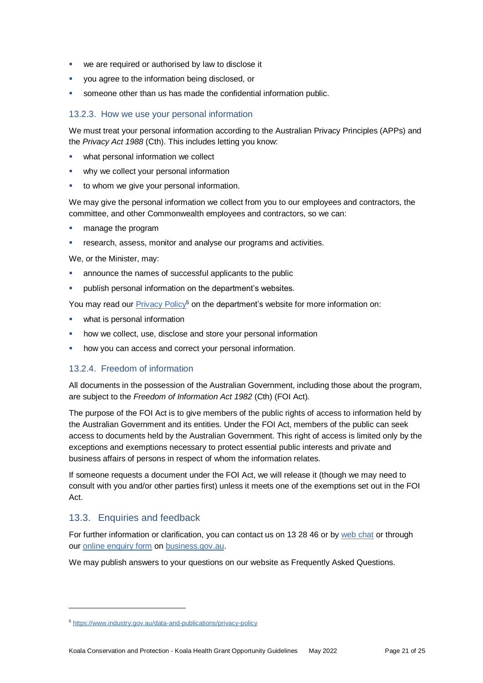- we are required or authorised by law to disclose it
- you agree to the information being disclosed, or
- someone other than us has made the confidential information public.

#### <span id="page-20-0"></span>13.2.3. How we use your personal information

We must treat your personal information according to the Australian Privacy Principles (APPs) and the *Privacy Act 1988* (Cth). This includes letting you know:

- what personal information we collect
- why we collect your personal information
- to whom we give your personal information.

We may give the personal information we collect from you to our employees and contractors, the committee, and other Commonwealth employees and contractors, so we can:

- **manage the program**
- research, assess, monitor and analyse our programs and activities.

We, or the Minister, may:

- announce the names of successful applicants to the public
- publish personal information on the department's websites.

You may read our [Privacy Policy](https://www.industry.gov.au/data-and-publications/privacy-policy)<sup>5</sup> on the department's website for more information on:

- what is personal information
- how we collect, use, disclose and store your personal information
- how you can access and correct your personal information.

#### 13.2.4. Freedom of information

All documents in the possession of the Australian Government, including those about the program, are subject to the *Freedom of Information Act 1982* (Cth) (FOI Act)*.*

The purpose of the FOI Act is to give members of the public rights of access to information held by the Australian Government and its entities. Under the FOI Act, members of the public can seek access to documents held by the Australian Government. This right of access is limited only by the exceptions and exemptions necessary to protect essential public interests and private and business affairs of persons in respect of whom the information relates.

If someone requests a document under the FOI Act, we will release it (though we may need to consult with you and/or other parties first) unless it meets one of the exemptions set out in the FOI Act.

#### 13.3. Enquiries and feedback

l

For further information or clarification, you can contact us on 13 28 46 or by [web chat](https://www.business.gov.au/contact-us) or through our [online enquiry form](http://www.business.gov.au/contact-us/Pages/default.aspx) on [business.gov.au.](https://business.gov.au/grants-and-programs/koala-conservation-and-protection-koala-health-grant-opportunity#key-documents)

We may publish answers to your questions on our website as Frequently Asked Questions.

<sup>5</sup> <https://www.industry.gov.au/data-and-publications/privacy-policy>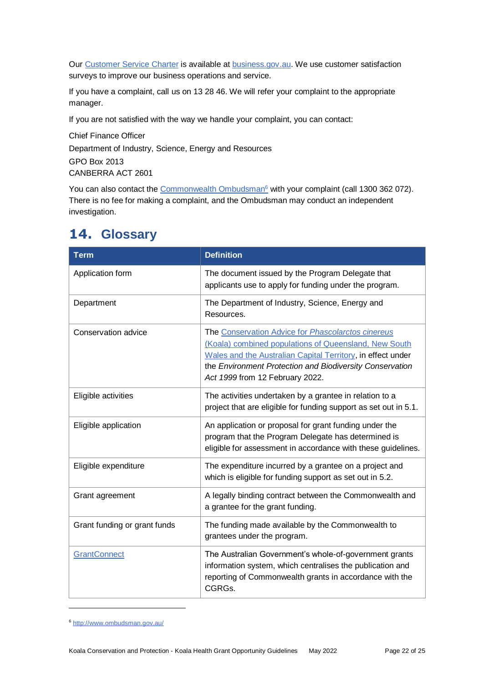Our [Customer Service Charter](https://www.business.gov.au/about/customer-service-charter) is available at **business.gov.au**. We use customer satisfaction surveys to improve our business operations and service.

If you have a complaint, call us on 13 28 46. We will refer your complaint to the appropriate manager.

If you are not satisfied with the way we handle your complaint, you can contact:

Chief Finance Officer Department of Industry, Science, Energy and Resources GPO Box 2013 CANBERRA ACT 2601

You can also contact the [Commonwealth Ombudsman](http://www.ombudsman.gov.au/)<sup>6</sup> with your complaint (call 1300 362 072). There is no fee for making a complaint, and the Ombudsman may conduct an independent investigation.

| <b>Term</b>                  | <b>Definition</b>                                                                                                                                                                                                                                                         |  |  |
|------------------------------|---------------------------------------------------------------------------------------------------------------------------------------------------------------------------------------------------------------------------------------------------------------------------|--|--|
| Application form             | The document issued by the Program Delegate that<br>applicants use to apply for funding under the program.                                                                                                                                                                |  |  |
| Department                   | The Department of Industry, Science, Energy and<br>Resources.                                                                                                                                                                                                             |  |  |
| Conservation advice          | The Conservation Advice for Phascolarctos cinereus<br>(Koala) combined populations of Queensland, New South<br>Wales and the Australian Capital Territory, in effect under<br>the Environment Protection and Biodiversity Conservation<br>Act 1999 from 12 February 2022. |  |  |
| Eligible activities          | The activities undertaken by a grantee in relation to a<br>project that are eligible for funding support as set out in 5.1.                                                                                                                                               |  |  |
| Eligible application         | An application or proposal for grant funding under the<br>program that the Program Delegate has determined is<br>eligible for assessment in accordance with these guidelines.                                                                                             |  |  |
| Eligible expenditure         | The expenditure incurred by a grantee on a project and<br>which is eligible for funding support as set out in 5.2.                                                                                                                                                        |  |  |
| Grant agreement              | A legally binding contract between the Commonwealth and<br>a grantee for the grant funding.                                                                                                                                                                               |  |  |
| Grant funding or grant funds | The funding made available by the Commonwealth to<br>grantees under the program.                                                                                                                                                                                          |  |  |
| <b>GrantConnect</b>          | The Australian Government's whole-of-government grants<br>information system, which centralises the publication and<br>reporting of Commonwealth grants in accordance with the<br>CGRGs.                                                                                  |  |  |

### <span id="page-21-0"></span>**14. Glossary**

l

<sup>6</sup> <http://www.ombudsman.gov.au/>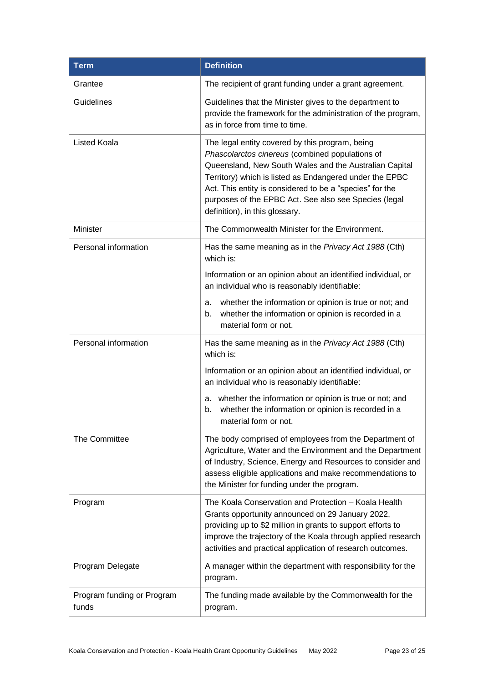| <b>Definition</b><br><b>Term</b>    |                                                                                                                                                                                                                                                                                                                                                                                |  |
|-------------------------------------|--------------------------------------------------------------------------------------------------------------------------------------------------------------------------------------------------------------------------------------------------------------------------------------------------------------------------------------------------------------------------------|--|
| Grantee                             | The recipient of grant funding under a grant agreement.                                                                                                                                                                                                                                                                                                                        |  |
| Guidelines                          | Guidelines that the Minister gives to the department to<br>provide the framework for the administration of the program,<br>as in force from time to time.                                                                                                                                                                                                                      |  |
| <b>Listed Koala</b>                 | The legal entity covered by this program, being<br>Phascolarctos cinereus (combined populations of<br>Queensland, New South Wales and the Australian Capital<br>Territory) which is listed as Endangered under the EPBC<br>Act. This entity is considered to be a "species" for the<br>purposes of the EPBC Act. See also see Species (legal<br>definition), in this glossary. |  |
| Minister                            | The Commonwealth Minister for the Environment.                                                                                                                                                                                                                                                                                                                                 |  |
| Personal information                | Has the same meaning as in the Privacy Act 1988 (Cth)<br>which is:                                                                                                                                                                                                                                                                                                             |  |
|                                     | Information or an opinion about an identified individual, or<br>an individual who is reasonably identifiable:                                                                                                                                                                                                                                                                  |  |
|                                     | whether the information or opinion is true or not; and<br>а.<br>whether the information or opinion is recorded in a<br>b.<br>material form or not.                                                                                                                                                                                                                             |  |
| Personal information                | Has the same meaning as in the Privacy Act 1988 (Cth)<br>which is:                                                                                                                                                                                                                                                                                                             |  |
|                                     | Information or an opinion about an identified individual, or<br>an individual who is reasonably identifiable:                                                                                                                                                                                                                                                                  |  |
|                                     | a. whether the information or opinion is true or not; and<br>whether the information or opinion is recorded in a<br>b.<br>material form or not.                                                                                                                                                                                                                                |  |
| The Committee                       | The body comprised of employees from the Department of<br>Agriculture, Water and the Environment and the Department<br>of Industry, Science, Energy and Resources to consider and<br>assess eligible applications and make recommendations to<br>the Minister for funding under the program.                                                                                   |  |
| Program                             | The Koala Conservation and Protection - Koala Health<br>Grants opportunity announced on 29 January 2022,<br>providing up to \$2 million in grants to support efforts to<br>improve the trajectory of the Koala through applied research<br>activities and practical application of research outcomes.                                                                          |  |
| Program Delegate                    | A manager within the department with responsibility for the<br>program.                                                                                                                                                                                                                                                                                                        |  |
| Program funding or Program<br>funds | The funding made available by the Commonwealth for the<br>program.                                                                                                                                                                                                                                                                                                             |  |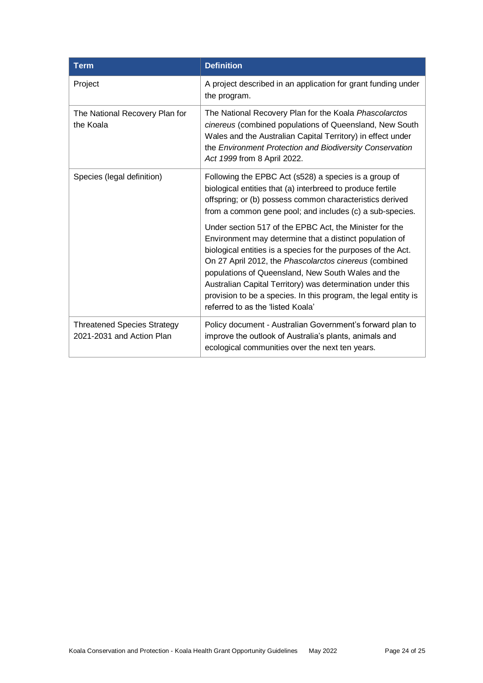| <b>Term</b>                                                     | <b>Definition</b>                                                                                                                                                                                                                                                                                                                                                                                                                                                         |  |  |
|-----------------------------------------------------------------|---------------------------------------------------------------------------------------------------------------------------------------------------------------------------------------------------------------------------------------------------------------------------------------------------------------------------------------------------------------------------------------------------------------------------------------------------------------------------|--|--|
| Project                                                         | A project described in an application for grant funding under<br>the program.                                                                                                                                                                                                                                                                                                                                                                                             |  |  |
| The National Recovery Plan for<br>the Koala                     | The National Recovery Plan for the Koala Phascolarctos<br>cinereus (combined populations of Queensland, New South<br>Wales and the Australian Capital Territory) in effect under<br>the Environment Protection and Biodiversity Conservation<br>Act 1999 from 8 April 2022.                                                                                                                                                                                               |  |  |
| Species (legal definition)                                      | Following the EPBC Act (s528) a species is a group of<br>biological entities that (a) interbreed to produce fertile<br>offspring; or (b) possess common characteristics derived<br>from a common gene pool; and includes (c) a sub-species.                                                                                                                                                                                                                               |  |  |
|                                                                 | Under section 517 of the EPBC Act, the Minister for the<br>Environment may determine that a distinct population of<br>biological entities is a species for the purposes of the Act.<br>On 27 April 2012, the Phascolarctos cinereus (combined<br>populations of Queensland, New South Wales and the<br>Australian Capital Territory) was determination under this<br>provision to be a species. In this program, the legal entity is<br>referred to as the 'listed Koala' |  |  |
| <b>Threatened Species Strategy</b><br>2021-2031 and Action Plan | Policy document - Australian Government's forward plan to<br>improve the outlook of Australia's plants, animals and<br>ecological communities over the next ten years.                                                                                                                                                                                                                                                                                                    |  |  |